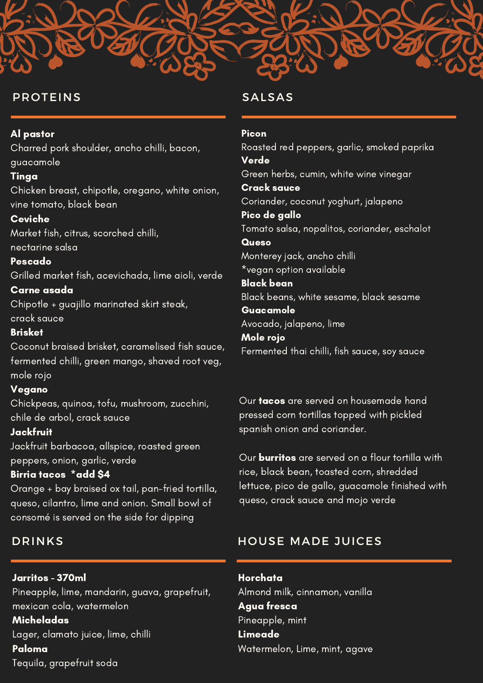## PROTEINS

#### Al pastor

Charred pork shoulder, ancho chilli, bacon, guacamole

#### Tinga

Chicken breast, chipotle, oregano, white onion, vine tomato, black bean

## Ceviche

Market fish, citrus, scorched chilli, nectarine salsa

### **Pescado**

Grilled market fish, acevichada, lime aioli, verde

## Carne asada

Chipotle + guajillo marinated skirt steak, crack sauce

## **Brisket**

Coconut braised brisket, caramelised fish sauce, fermented chilli, green mango, shaved root veg, mole rojo

### Vegano

Chickpeas, quinoa, tofu, mushroom, zucchini, chile de arbol, crack sauce

## Jackfruit

Jackfruit barbacoa, allspice, roasted green peppers, onion, garlic, verde

## Birria tacos \*add \$4

Orange + bay braised ox tail, pan-fried tortilla, queso, cilantro, lime and onion. Small bowl of consomé is served on the side for dipping

# DRINKS

Jarritos - 370ml Pineapple, lime, mandarin, guava, grapefruit, mexican cola, watermelon

**Micheladas** Lager, clamato juice, lime, chilli Paloma Tequila, grapefruit soda

## SALSAS

## Picon

Roasted red peppers, garlic, smoked paprika Verde Green herbs, cumin, white wine vinegar Crack sauce Coriander, coconut yoghurt, jalapeno Pico de gallo Tomato salsa, nopalitos, coriander, eschalot **Queso** Monterey jack, ancho chilli \*vegan option available Black bean Black beans, white sesame, black sesame Guacamole Avocado, jalapeno, lime Mole rojo

Fermented thai chilli, fish sauce, soy sauce

Our **tacos** are served on housemade hand pressed corn tortillas topped with pickled spanish onion and coriander.

Our burritos are served on a flour tortilla with rice, black bean, toasted corn, shredded lettuce, pico de gallo, guacamole finished with queso, crack sauce and mojo verde

# HOUSE MADE JUICES

Horchata Almond milk, cinnamon, vanilla Agua fresca Pineapple, mint Limeade Watermelon, Lime, mint, agave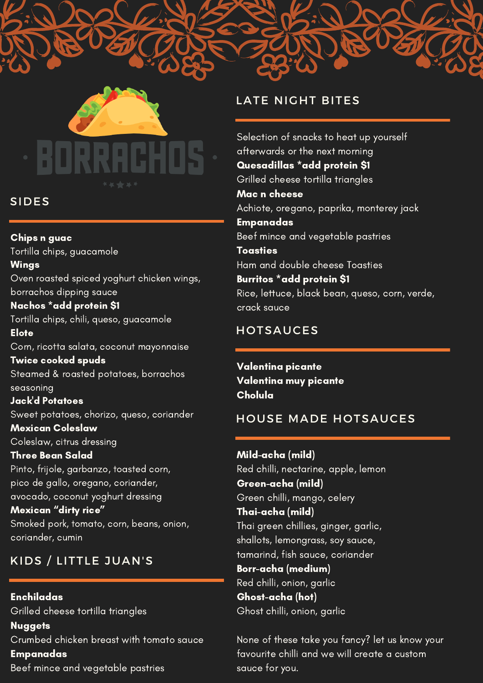

## SIDES

Chips n guac Tortilla chips, guacamole

Wings Oven roasted spiced yoghurt chicken wings, borrachos dipping sauce

# Nachos \*add protein \$1

Tortilla chips, chili, queso, guacamole Elote

Corn, ricotta salata, coconut mayonnaise

Twice cooked spuds Steamed & roasted potatoes, borrachos seasoning

Jack'd Potatoes Sweet potatoes, chorizo, queso, coriander Mexican Coleslaw

Coleslaw, citrus dressing

Three Bean Salad Pinto, frijole, garbanzo, toasted corn, pico de gallo, oregano, coriander, avocado, coconut yoghurt dressing

Mexican "dirty rice" Smoked pork, tomato, corn, beans, onion, coriander, cumin

# KIDS / LITTLE JUAN'S

Enchiladas Grilled cheese tortilla triangles **Nuggets** Crumbed chicken breast with tomato sauce Empanadas Beef mince and vegetable pastries

# LATE NIGHT BITES

Selection of snacks to heat up yourself afterwards or the next morning Quesadillas \*add protein \$1 Grilled cheese tortilla triangles Mac n cheese Achiote, oregano, paprika, monterey jack Empanadas Beef mince and vegetable pastries **Toasties** Ham and double cheese Toasties Burritos \*add protein \$1 Rice, lettuce, black bean, queso, corn, verde, crack sauce

# HOTSAUCES

Valentina picante Valentina muy picante Cholula

# HOUSE MADE HOTSAUCES

Mild-acha (mild) Red chilli, nectarine, apple, lemon Green-acha (mild) Green chilli, mango, celery Thai-acha (mild) Thai green chillies, ginger, garlic, shallots, lemongrass, soy sauce, tamarind, fish sauce, coriander Borr-acha (medium) Red chilli, onion, garlic Ghost-acha (hot) Ghost chilli, onion, garlic

None of these take you fancy? let us know your favourite chilli and we will create a custom sauce for you.